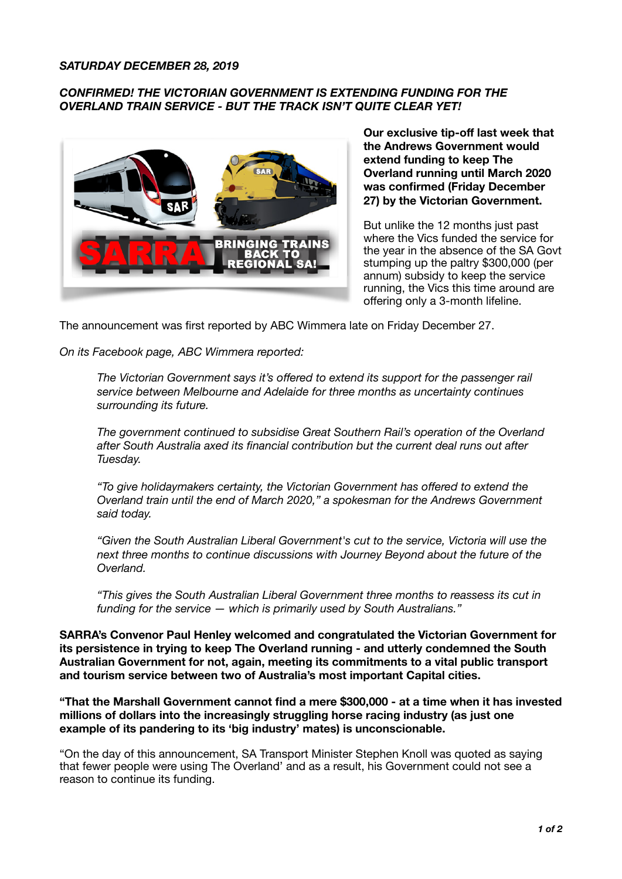## *SATURDAY DECEMBER 28, 2019*

## *CONFIRMED! THE VICTORIAN GOVERNMENT IS EXTENDING FUNDING FOR THE OVERLAND TRAIN SERVICE - BUT THE TRACK ISN'T QUITE CLEAR YET!*



**Our exclusive tip-off last week that the Andrews Government would extend funding to keep The Overland running until March 2020 was confirmed (Friday December 27) by the Victorian Government.** 

But unlike the 12 months just past where the Vics funded the service for the year in the absence of the SA Govt stumping up the paltry \$300,000 (per annum) subsidy to keep the service running, the Vics this time around are offering only a 3-month lifeline.

The announcement was first reported by ABC Wimmera late on Friday December 27.

*On its Facebook page, ABC Wimmera reported:* 

*The Victorian Government says it's offered to extend its support for the passenger rail service between Melbourne and Adelaide for three months as uncertainty continues surrounding its future.* 

*The government continued to subsidise Great Southern Rail's operation of the Overland after South Australia axed its financial contribution but the current deal runs out after Tuesday.* 

*"To give holidaymakers certainty, the Victorian Government has offered to extend the Overland train until the end of March 2020," a spokesman for the Andrews Government said today.* 

*"Given the South Australian Liberal Government's cut to the service, Victoria will use the next three months to continue discussions with Journey Beyond about the future of the Overland.* 

*"This gives the South Australian Liberal Government three months to reassess its cut in funding for the service — which is primarily used by South Australians."* 

**SARRA's Convenor Paul Henley welcomed and congratulated the Victorian Government for its persistence in trying to keep The Overland running - and utterly condemned the South Australian Government for not, again, meeting its commitments to a vital public transport and tourism service between two of Australia's most important Capital cities.** 

**"That the Marshall Government cannot find a mere \$300,000 - at a time when it has invested millions of dollars into the increasingly struggling horse racing industry (as just one example of its pandering to its 'big industry' mates) is unconscionable.** 

"On the day of this announcement, SA Transport Minister Stephen Knoll was quoted as saying that fewer people were using The Overland' and as a result, his Government could not see a reason to continue its funding.